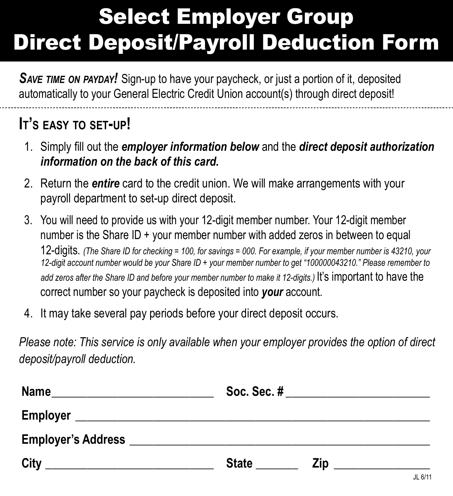# Select Employer Group Direct Deposit/Payroll Deduction Form

*Save time on payday!* Sign-up to have your paycheck, or just a portion of it, deposited automatically to your General Electric Credit Union account(s) through direct deposit!

# **It's easy to set-up!**

- 1. Simply fill out the *employer information below* and the *direct deposit authorization information on the back of this card.*
- 2. Return the *entire* card to the credit union. We will make arrangements with your payroll department to set-up direct deposit.
- 3. You will need to provide us with your 12-digit member number. Your 12-digit member number is the Share ID + your member number with added zeros in between to equal 12-digits. *(The Share ID for checking = 100, for savings = 000. For example, if your member number is 43210, your 12-digit account number would be your Share ID + your member number to get "100000043210." Please remember to add zeros after the Share ID and before your member number to make it 12-digits.)* It's important to have the correct number so your paycheck is deposited into *your* account.
- 4. It may take several pay periods before your direct deposit occurs.

*Please note: This service is only available when your employer provides the option of direct deposit/payroll deduction.*

| Name |                                                                     |             |  |  |  |
|------|---------------------------------------------------------------------|-------------|--|--|--|
|      |                                                                     |             |  |  |  |
|      |                                                                     |             |  |  |  |
| City | <b>State</b><br>Zip<br>the control of the control of the control of | $II$ $6/11$ |  |  |  |